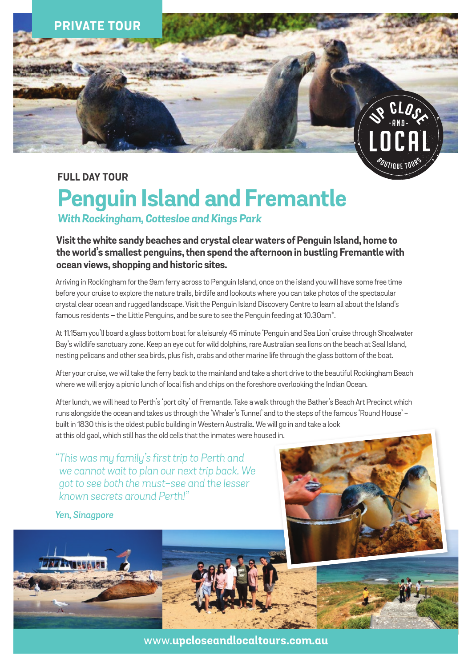

# **FULL DAY TOUR**

# **Penguin Island and Fremantle**

*With Rockingham, Cottesloe and Kings Park*

**Visit the white sandy beaches and crystal clear waters of Penguin Island, home to the world's smallest penguins, then spend the afternoon in bustling Fremantle with ocean views, shopping and historic sites.**

Arriving in Rockingham for the 9am ferry across to Penguin Island, once on the island you will have some free time before your cruise to explore the nature trails, birdlife and lookouts where you can take photos of the spectacular crystal clear ocean and rugged landscape. Visit the Penguin Island Discovery Centre to learn all about the Island's famous residents – the Little Penguins, and be sure to see the Penguin feeding at 10.30am\*.

At 11.15am you'll board a glass bottom boat for a leisurely 45 minute 'Penguin and Sea Lion' cruise through Shoalwater Bay's wildlife sanctuary zone. Keep an eye out for wild dolphins, rare Australian sea lions on the beach at Seal Island, nesting pelicans and other sea birds, plus fish, crabs and other marine life through the glass bottom of the boat.

After your cruise, we will take the ferry back to the mainland and take a short drive to the beautiful Rockingham Beach where we will enjoy a picnic lunch of local fish and chips on the foreshore overlooking the Indian Ocean.

After lunch, we will head to Perth's 'port city' of Fremantle. Take a walk through the Bather's Beach Art Precinct which runs alongside the ocean and takes us through the 'Whaler's Tunnel' and to the steps of the famous 'Round House' built in 1830 this is the oldest public building in Western Australia. We will go in and take a look at this old gaol, which still has the old cells that the inmates were housed in.

*"This was my family's first trip to Perth and we cannot wait to plan our next trip back. We got to see both the must-see and the lesser known secrets around Perth!"*

*Yen, Sinagpore*

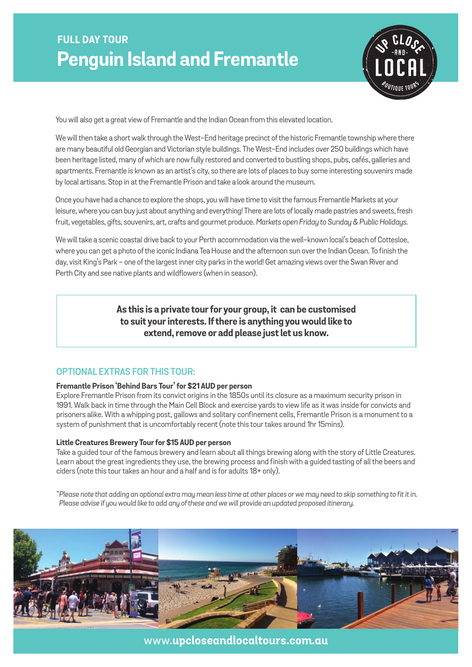# **FULL DAY TOUR Penguin Island and Fremantle**



You will also get a great view of Fremantle and the Indian Ocean from this elevated location.

We will then take a short walk through the West-End heritage precinct of the historic Fremantle township where there are many beautiful old Georgian and Victorian style buildings. The West-End includes over 250 buildings which have been heritage listed, many of which are now fully restored and converted to bustling shops, pubs, cafés, galleries and apartments. Fremantle is known as an artist's city, so there are lots of places to buy some interesting souvenirs made by local artisans. Stop in at the Fremantle Prison and take a look around the museum.

Once you have had a chance to explore the shops, you will have time to visit the famous Fremantle Markets at your leisure, where you can buy just about anything and everything! There are lots of locally made pastries and sweets, fresh fruit, vegetables, gifts, souvenirs, art, crafts and gourmet produce. *Markets open Friday to Sunday & Public Holidays.*

We will take a scenic coastal drive back to your Perth accommodation via the well-known local's beach of Cottesloe, where you can get a photo of the iconic Indiana Tea House and the afternoon sun over the Indian Ocean. To finish the day, visit King's Park - one of the largest inner city parks in the world! Get amazing views over the Swan River and Perth City and see native plants and wildflowers (when in season).

> **As this is a private tour for your group, it can be customised to suit your interests. If there is anything you would like to extend, remove or add please just let us know.**

### **optional extras for this tour:**

#### **Fremantle Prison 'Behind Bars Tour' for \$21 AUD per person**

Explore Fremantle Prison from its convict origins in the 1850s until its closure as a maximum security prison in 1991. Walk back in time through the Main Cell Block and exercise yards to view life as it was inside for convicts and prisoners alike. With a whipping post, gallows and solitary confinement cells, Fremantle Prison is a monument to a system of punishment that is uncomfortably recent (note this tour takes around 1hr 15mins).

#### **Little Creatures Brewery Tour for \$15 AUD per person**

Take a guided tour of the famous brewery and learn about all things brewing along with the story of Little Creatures. Learn about the great ingredients they use, the brewing process and finish with a guided tasting of all the beers and ciders (note this tour takes an hour and a half and is for adults 18+ only).

*\*Please note that adding an optional extra may mean less time at other places or we may need to skip something to fit it in. Please advise if you would like to add any of these and we will provide an updated proposed itinerary.* 



www.**upcloseandlocaltours.com.au**